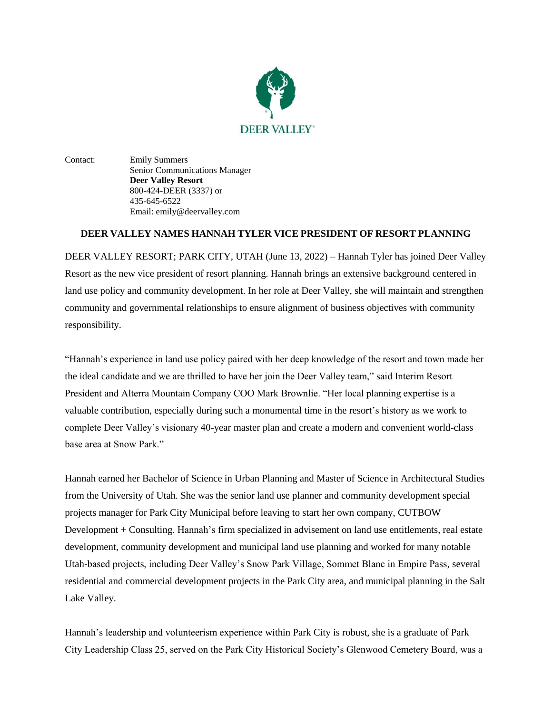

Contact: Emily Summers Senior Communications Manager **Deer Valley Resort** 800-424-DEER (3337) or 435-645-6522 Email: emily@deervalley.com

## **DEER VALLEY NAMES HANNAH TYLER VICE PRESIDENT OF RESORT PLANNING**

DEER VALLEY RESORT; PARK CITY, UTAH (June 13, 2022) – Hannah Tyler has joined Deer Valley Resort as the new vice president of resort planning. Hannah brings an extensive background centered in land use policy and community development. In her role at Deer Valley, she will maintain and strengthen community and governmental relationships to ensure alignment of business objectives with community responsibility.

"Hannah's experience in land use policy paired with her deep knowledge of the resort and town made her the ideal candidate and we are thrilled to have her join the Deer Valley team," said Interim Resort President and Alterra Mountain Company COO Mark Brownlie. "Her local planning expertise is a valuable contribution, especially during such a monumental time in the resort's history as we work to complete Deer Valley's visionary 40-year master plan and create a modern and convenient world-class base area at Snow Park."

Hannah earned her Bachelor of Science in Urban Planning and Master of Science in Architectural Studies from the University of Utah. She was the senior land use planner and community development special projects manager for Park City Municipal before leaving to start her own company, CUTBOW Development + Consulting. Hannah's firm specialized in advisement on land use entitlements, real estate development, community development and municipal land use planning and worked for many notable Utah-based projects, including Deer Valley's Snow Park Village, Sommet Blanc in Empire Pass, several residential and commercial development projects in the Park City area, and municipal planning in the Salt Lake Valley.

Hannah's leadership and volunteerism experience within Park City is robust, she is a graduate of Park City Leadership Class 25, served on the Park City Historical Society's Glenwood Cemetery Board, was a